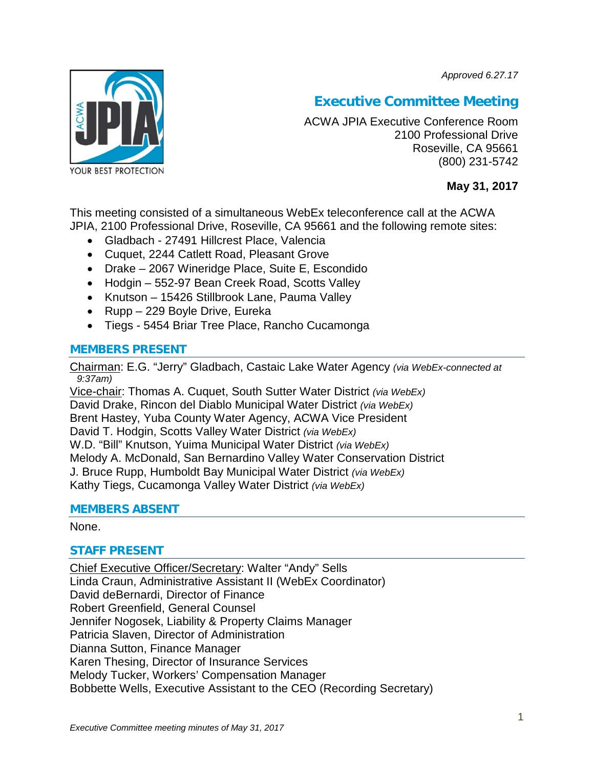*Approved 6.27.17*



# **Executive Committee Meeting**

ACWA JPIA Executive Conference Room 2100 Professional Drive Roseville, CA 95661 (800) 231-5742

# **May 31, 2017**

This meeting consisted of a simultaneous WebEx teleconference call at the ACWA JPIA, 2100 Professional Drive, Roseville, CA 95661 and the following remote sites:

- Gladbach 27491 Hillcrest Place, Valencia
- Cuquet, 2244 Catlett Road, Pleasant Grove
- Drake 2067 Wineridge Place, Suite E, Escondido
- Hodgin 552-97 Bean Creek Road, Scotts Valley
- Knutson 15426 Stillbrook Lane, Pauma Valley
- Rupp 229 Boyle Drive, Eureka
- Tiegs 5454 Briar Tree Place, Rancho Cucamonga

## **MEMBERS PRESENT**

Chairman: E.G. "Jerry" Gladbach, Castaic Lake Water Agency *(via WebEx-connected at 9:37am)*

Vice-chair: Thomas A. Cuquet, South Sutter Water District *(via WebEx)* David Drake, Rincon del Diablo Municipal Water District *(via WebEx)* Brent Hastey, Yuba County Water Agency, ACWA Vice President David T. Hodgin, Scotts Valley Water District *(via WebEx)* W.D. "Bill" Knutson, Yuima Municipal Water District *(via WebEx)* Melody A. McDonald, San Bernardino Valley Water Conservation District J. Bruce Rupp, Humboldt Bay Municipal Water District *(via WebEx)* Kathy Tiegs, Cucamonga Valley Water District *(via WebEx)*

## **MEMBERS ABSENT**

## None.

# **STAFF PRESENT**

Chief Executive Officer/Secretary: Walter "Andy" Sells Linda Craun, Administrative Assistant II (WebEx Coordinator) David deBernardi, Director of Finance Robert Greenfield, General Counsel Jennifer Nogosek, Liability & Property Claims Manager Patricia Slaven, Director of Administration Dianna Sutton, Finance Manager Karen Thesing, Director of Insurance Services Melody Tucker, Workers' Compensation Manager Bobbette Wells, Executive Assistant to the CEO (Recording Secretary)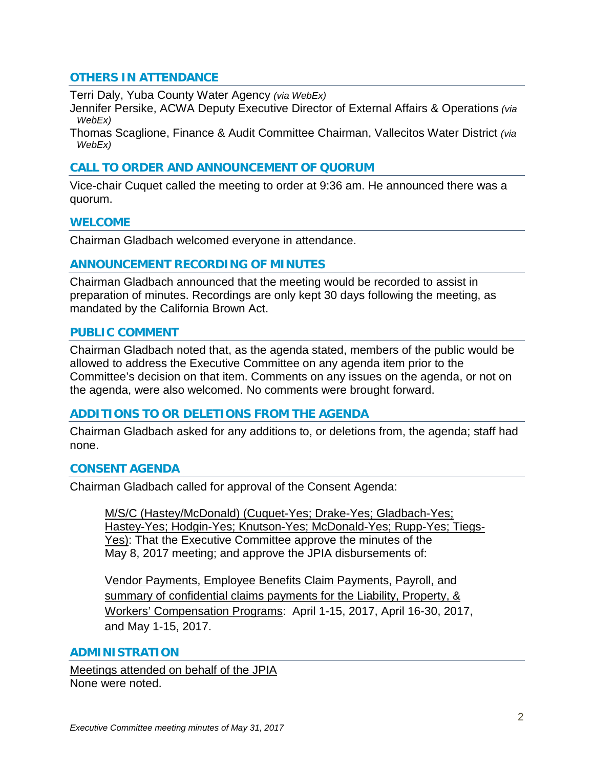## **OTHERS IN ATTENDANCE**

Terri Daly, Yuba County Water Agency *(via WebEx)*

Jennifer Persike, ACWA Deputy Executive Director of External Affairs & Operations *(via WebEx)*

Thomas Scaglione, Finance & Audit Committee Chairman, Vallecitos Water District *(via WebEx)*

## **CALL TO ORDER AND ANNOUNCEMENT OF QUORUM**

Vice-chair Cuquet called the meeting to order at 9:36 am. He announced there was a quorum.

#### **WELCOME**

Chairman Gladbach welcomed everyone in attendance.

#### **ANNOUNCEMENT RECORDING OF MINUTES**

Chairman Gladbach announced that the meeting would be recorded to assist in preparation of minutes. Recordings are only kept 30 days following the meeting, as mandated by the California Brown Act.

#### **PUBLIC COMMENT**

Chairman Gladbach noted that, as the agenda stated, members of the public would be allowed to address the Executive Committee on any agenda item prior to the Committee's decision on that item. Comments on any issues on the agenda, or not on the agenda, were also welcomed. No comments were brought forward.

## **ADDITIONS TO OR DELETIONS FROM THE AGENDA**

Chairman Gladbach asked for any additions to, or deletions from, the agenda; staff had none.

## **CONSENT AGENDA**

Chairman Gladbach called for approval of the Consent Agenda:

M/S/C (Hastey/McDonald) (Cuquet-Yes; Drake-Yes; Gladbach-Yes; Hastey-Yes; Hodgin-Yes; Knutson-Yes; McDonald-Yes; Rupp-Yes; Tiegs-Yes): That the Executive Committee approve the minutes of the May 8, 2017 meeting; and approve the JPIA disbursements of:

Vendor Payments, Employee Benefits Claim Payments, Payroll, and summary of confidential claims payments for the Liability, Property, & Workers' Compensation Programs: April 1-15, 2017, April 16-30, 2017, and May 1-15, 2017.

## **ADMINISTRATION**

Meetings attended on behalf of the JPIA None were noted.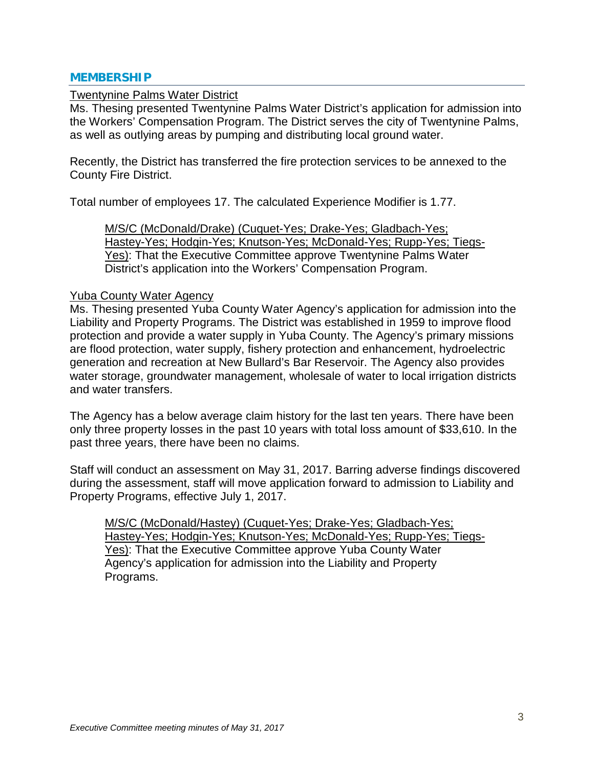#### **MEMBERSHIP**

#### Twentynine Palms Water District

Ms. Thesing presented Twentynine Palms Water District's application for admission into the Workers' Compensation Program. The District serves the city of Twentynine Palms, as well as outlying areas by pumping and distributing local ground water.

Recently, the District has transferred the fire protection services to be annexed to the County Fire District.

Total number of employees 17. The calculated Experience Modifier is 1.77.

M/S/C (McDonald/Drake) (Cuquet-Yes; Drake-Yes; Gladbach-Yes; Hastey-Yes; Hodgin-Yes; Knutson-Yes; McDonald-Yes; Rupp-Yes; Tiegs-Yes): That the Executive Committee approve Twentynine Palms Water District's application into the Workers' Compensation Program.

#### Yuba County Water Agency

Ms. Thesing presented Yuba County Water Agency's application for admission into the Liability and Property Programs. The District was established in 1959 to improve flood protection and provide a water supply in Yuba County. The Agency's primary missions are flood protection, water supply, fishery protection and enhancement, hydroelectric generation and recreation at New Bullard's Bar Reservoir. The Agency also provides water storage, groundwater management, wholesale of water to local irrigation districts and water transfers.

The Agency has a below average claim history for the last ten years. There have been only three property losses in the past 10 years with total loss amount of \$33,610. In the past three years, there have been no claims.

Staff will conduct an assessment on May 31, 2017. Barring adverse findings discovered during the assessment, staff will move application forward to admission to Liability and Property Programs, effective July 1, 2017.

M/S/C (McDonald/Hastey) (Cuquet-Yes; Drake-Yes; Gladbach-Yes; Hastey-Yes; Hodgin-Yes; Knutson-Yes; McDonald-Yes; Rupp-Yes; Tiegs-Yes): That the Executive Committee approve Yuba County Water Agency's application for admission into the Liability and Property Programs.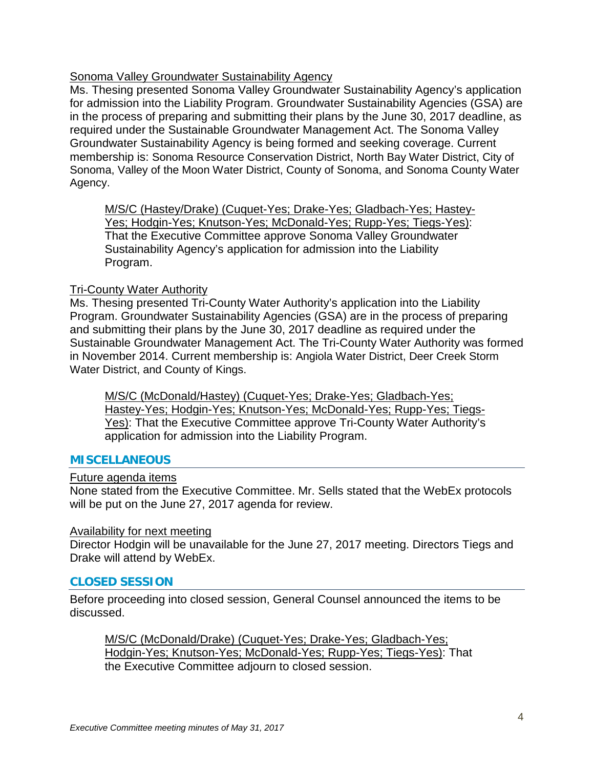# Sonoma Valley Groundwater Sustainability Agency

Ms. Thesing presented Sonoma Valley Groundwater Sustainability Agency's application for admission into the Liability Program. Groundwater Sustainability Agencies (GSA) are in the process of preparing and submitting their plans by the June 30, 2017 deadline, as required under the Sustainable Groundwater Management Act. The Sonoma Valley Groundwater Sustainability Agency is being formed and seeking coverage. Current membership is: Sonoma Resource Conservation District, North Bay Water District, City of Sonoma, Valley of the Moon Water District, County of Sonoma, and Sonoma County Water Agency.

M/S/C (Hastey/Drake) (Cuquet-Yes; Drake-Yes; Gladbach-Yes; Hastey-Yes; Hodgin-Yes; Knutson-Yes; McDonald-Yes; Rupp-Yes; Tiegs-Yes): That the Executive Committee approve Sonoma Valley Groundwater Sustainability Agency's application for admission into the Liability Program.

## Tri-County Water Authority

Ms. Thesing presented Tri-County Water Authority's application into the Liability Program. Groundwater Sustainability Agencies (GSA) are in the process of preparing and submitting their plans by the June 30, 2017 deadline as required under the Sustainable Groundwater Management Act. The Tri-County Water Authority was formed in November 2014. Current membership is: Angiola Water District, Deer Creek Storm Water District, and County of Kings.

M/S/C (McDonald/Hastey) (Cuquet-Yes; Drake-Yes; Gladbach-Yes; Hastey-Yes; Hodgin-Yes; Knutson-Yes; McDonald-Yes; Rupp-Yes; Tiegs-Yes): That the Executive Committee approve Tri-County Water Authority's application for admission into the Liability Program.

## **MISCELLANEOUS**

## Future agenda items

None stated from the Executive Committee. Mr. Sells stated that the WebEx protocols will be put on the June 27, 2017 agenda for review.

## Availability for next meeting

Director Hodgin will be unavailable for the June 27, 2017 meeting. Directors Tiegs and Drake will attend by WebEx.

# **CLOSED SESSION**

Before proceeding into closed session, General Counsel announced the items to be discussed.

M/S/C (McDonald/Drake) (Cuquet-Yes; Drake-Yes; Gladbach-Yes; Hodgin-Yes; Knutson-Yes; McDonald-Yes; Rupp-Yes; Tiegs-Yes): That the Executive Committee adjourn to closed session.